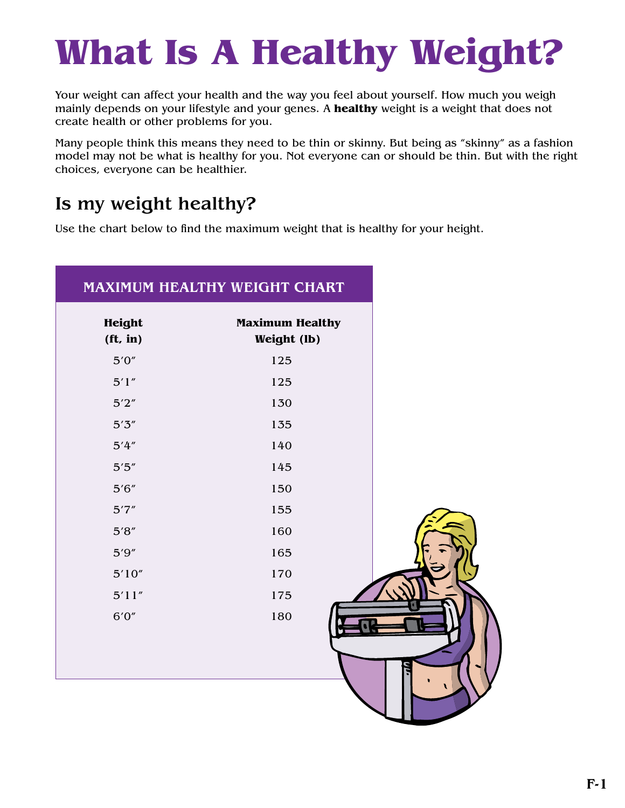## **What Is A Healthy Weight?**

Your weight can affect your health and the way you feel about yourself. How much you weigh mainly depends on your lifestyle and your genes. A **healthy** weight is a weight that does not create health or other problems for you.

Many people think this means they need to be thin or skinny. But being as "skinny" as a fashion model may not be what is healthy for you. Not everyone can or should be thin. But with the right choices, everyone can be healthier.

## Is my weight healthy?

Use the chart below to find the maximum weight that is healthy for your height.

| MAXIMUM HEALTHY WEIGHT CHART |                                       |  |
|------------------------------|---------------------------------------|--|
| Height<br>(ft, in)           | <b>Maximum Healthy</b><br>Weight (lb) |  |
| 5'0''                        | 125                                   |  |
| 5'1''                        | 125                                   |  |
| 5'2''                        | 130                                   |  |
| 5'3''                        | 135                                   |  |
| 5'4''                        | 140                                   |  |
| $5'5''$                      | 145                                   |  |
| 5'6''                        | 150                                   |  |
| 5'7''                        | 155                                   |  |
| $5'8''$                      | 160                                   |  |
| 5'9''                        | 165                                   |  |
| 5'10''                       | 170                                   |  |
| 5'11''                       | 175                                   |  |
| 6'0''                        | 180                                   |  |
|                              |                                       |  |
|                              |                                       |  |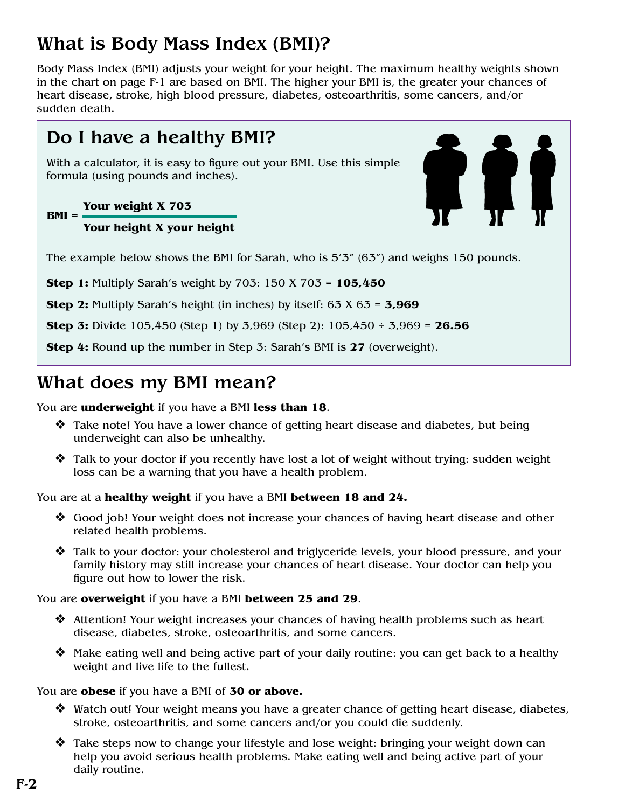## What is Body Mass Index (BMI)?

Body Mass Index (BMI) adjusts your weight for your height. The maximum healthy weights shown in the chart on page F-1 are based on BMI. The higher your BMI is, the greater your chances of heart disease, stroke, high blood pressure, diabetes, osteoarthritis, some cancers, and/or sudden death.

### Do I have a healthy BMI?

With a calculator, it is easy to figure out your BMI. Use this simple formula (using pounds and inches).

#### **Your weight X 703 BMI =**

#### **Your height X your height**



The example below shows the BMI for Sarah, who is 5'3" (63") and weighs 150 pounds.

**Step 1:** Multiply Sarah's weight by 703: 150 X 703 = **105,450**

**Step 2:** Multiply Sarah's height (in inches) by itself: 63 X 63 = **3,969**

**Step 3:** Divide 105,450 (Step 1) by 3,969 (Step 2): 105,450 ÷ 3,969 = **26.56**

**Step 4:** Round up the number in Step 3: Sarah's BMI is **27** (overweight).

### What does my BMI mean?

#### You are **underweight** if you have a BMI **less than 18**.

- $\triangle$  Take note! You have a lower chance of getting heart disease and diabetes, but being underweight can also be unhealthy.
- $\triangle$  Talk to your doctor if you recently have lost a lot of weight without trying: sudden weight loss can be a warning that you have a health problem.

You are at a **healthy weight** if you have a BMI **between 18 and 24.**

- $\triangle$  Good job! Your weight does not increase your chances of having heart disease and other related health problems.
- $\triangle$  Talk to your doctor: your cholesterol and triglyceride levels, your blood pressure, and your family history may still increase your chances of heart disease. Your doctor can help you figure out how to lower the risk.

You are **overweight** if you have a BMI **between 25 and 29**.

- $\triangleleft$  Attention! Your weight increases your chances of having health problems such as heart disease, diabetes, stroke, osteoarthritis, and some cancers.
- Make eating well and being active part of your daily routine: you can get back to a healthy weight and live life to the fullest.

You are **obese** if you have a BMI of **30 or above.**

- $\triangle$  Watch out! Your weight means you have a greater chance of getting heart disease, diabetes, stroke, osteoarthritis, and some cancers and/or you could die suddenly.
- $\hat{\mathbf{v}}$  Take steps now to change your lifestyle and lose weight: bringing your weight down can help you avoid serious health problems. Make eating well and being active part of your daily routine.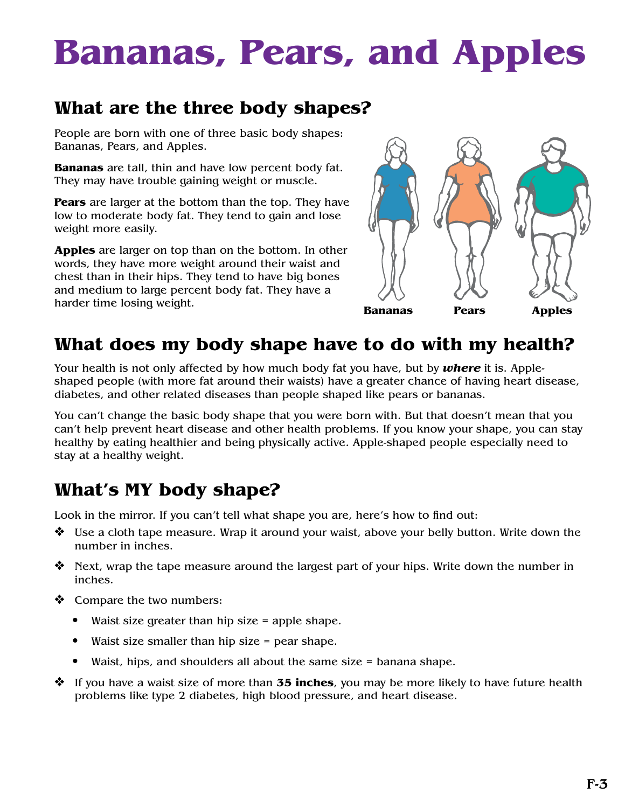## **Bananas, Pears, and Apples**

### **What are the three body shapes?**

People are born with one of three basic body shapes: Bananas, Pears, and Apples.

**Bananas** are tall, thin and have low percent body fat. They may have trouble gaining weight or muscle.

**Pears** are larger at the bottom than the top. They have low to moderate body fat. They tend to gain and lose weight more easily.

**Apples** are larger on top than on the bottom. In other words, they have more weight around their waist and chest than in their hips. They tend to have big bones and medium to large percent body fat. They have a harder time losing weight.



### **What does my body shape have to do with my health?**

Your health is not only affected by how much body fat you have, but by *where* it is. Appleshaped people (with more fat around their waists) have a greater chance of having heart disease, diabetes, and other related diseases than people shaped like pears or bananas.

You can't change the basic body shape that you were born with. But that doesn't mean that you can't help prevent heart disease and other health problems. If you know your shape, you can stay healthy by eating healthier and being physically active. Apple-shaped people especially need to stay at a healthy weight.

## **What's MY body shape?**

Look in the mirror. If you can't tell what shape you are, here's how to find out:

- $\clubsuit$  Use a cloth tape measure. Wrap it around your waist, above your belly button. Write down the number in inches.
- $\triangleleft$  Next, wrap the tape measure around the largest part of your hips. Write down the number in inches.
- $\triangleleft$  Compare the two numbers:
	- Waist size greater than hip size = apple shape.
	- Waist size smaller than hip size = pear shape.
	- Waist, hips, and shoulders all about the same size = banana shape.
- **→** If you have a waist size of more than **35 inches**, you may be more likely to have future health problems like type 2 diabetes, high blood pressure, and heart disease.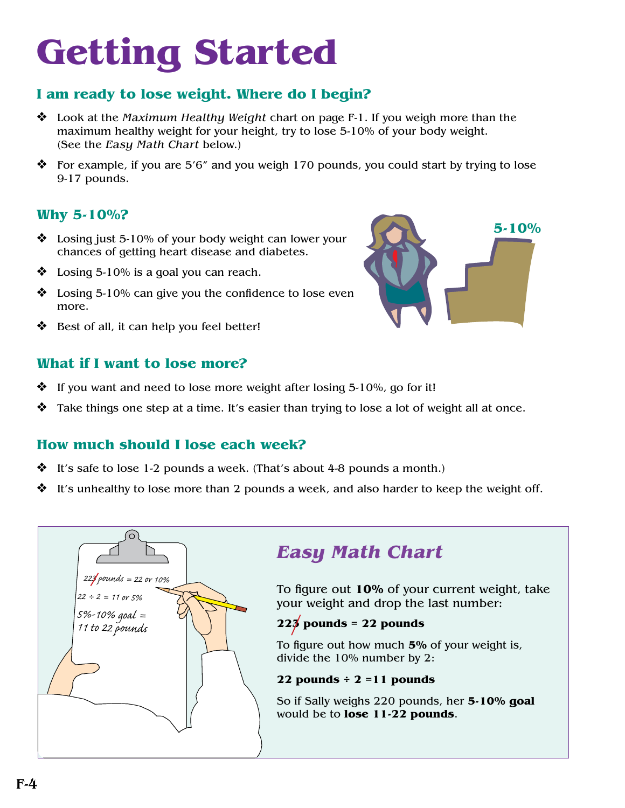## **Getting Started**

#### **I am ready to lose weight. Where do I begin?**

- **❖** Look at the *Maximum Healthy Weight* chart on page F-1. If you weigh more than the maximum healthy weight for your height, try to lose 5-10% of your body weight. (See the *Easy Math Chart* below.)
- $*$  For example, if you are 5'6" and you weigh 170 pounds, you could start by trying to lose 9-17 pounds.

#### **Why 5-10%?**

- $\bullet$  Losing just 5-10% of your body weight can lower your chances of getting heart disease and diabetes.
- $\bullet$  Losing 5-10% is a goal you can reach.
- $\bullet$  Losing 5-10% can give you the confidence to lose even more.
- $\triangleleft$  Best of all, it can help you feel better!

#### **What if I want to lose more?**

- $\cdot$  If you want and need to lose more weight after losing 5-10%, go for it!
- $\clubsuit$  Take things one step at a time. It's easier than trying to lose a lot of weight all at once.

#### **How much should I lose each week?**

- It's safe to lose 1-2 pounds a week. (That's about 4-8 pounds a month.)
- It's unhealthy to lose more than 2 pounds a week, and also harder to keep the weight off.



### *Easy Math Chart*

To figure out **10%** of your current weight, take your weight and drop the last number:

#### **223 pounds = 22 pounds**

To figure out how much **5%** of your weight is, divide the 10% number by 2:

#### **22 pounds ÷ 2 =11 pounds**

So if Sally weighs 220 pounds, her **5-10% goal** would be to **lose 11-22 pounds**.

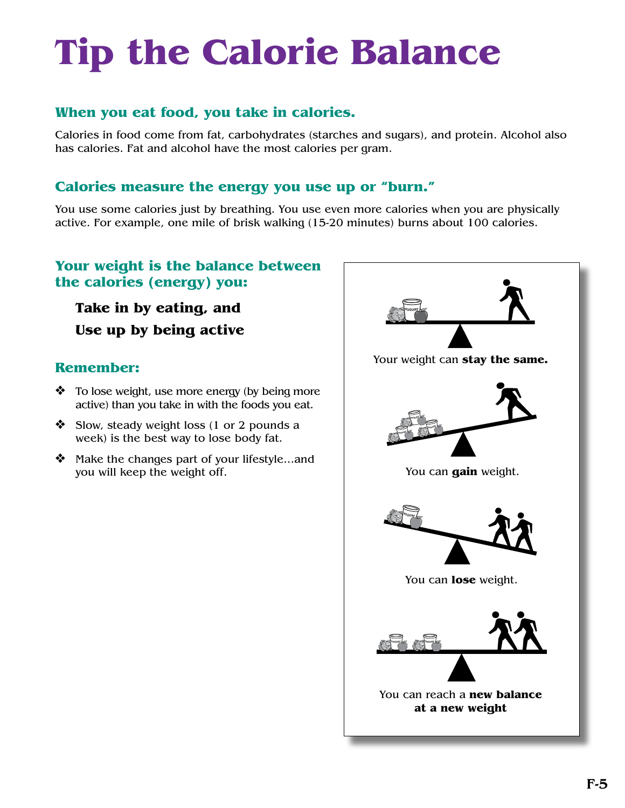## **Tip the Calorie Balance**

#### **When you eat food, you take in calories.**

Calories in food come from fat, carbohydrates (starches and sugars), and protein. Alcohol also has calories. Fat and alcohol have the most calories per gram.

#### **Calories measure the energy you use up or "burn."**

You use some calories just by breathing. You use even more calories when you are physically active. For example, one mile of brisk walking (15-20 minutes) burns about 100 calories.

#### **Your weight is the balance between the calories (energy) you:**

**Take in by eating, and Use up by being active**

#### **Remember:**

- $\bullet$  To lose weight, use more energy (by being more active) than you take in with the foods you eat.
- $\triangleleft$  Slow, steady weight loss (1 or 2 pounds a week) is the best way to lose body fat.
- $\triangleleft$  Make the changes part of your lifestyle...and you will keep the weight off.

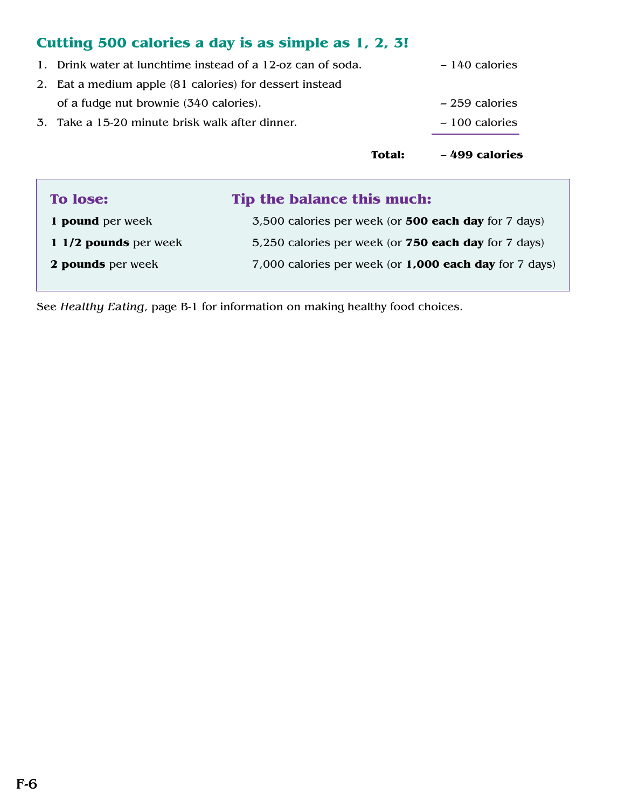### **Cutting 500 calories a day is as simple as 1, 2, 3!**

|                                                             | <b>Total:</b> | $-499$ calories |
|-------------------------------------------------------------|---------------|-----------------|
| 3. Take a 15-20 minute brisk walk after dinner.             |               | $-100$ calories |
| of a fudge nut brownie (340 calories).                      |               | $-259$ calories |
| 2. Eat a medium apple (81 calories) for dessert instead     |               |                 |
| 1. Drink water at lunchtime instead of a 12-oz can of soda. |               | $-140$ calories |

| <b>To lose:</b>         | Tip the balance this much:                                  |  |
|-------------------------|-------------------------------------------------------------|--|
| 1 pound per week        | 3,500 calories per week (or <b>500 each day</b> for 7 days) |  |
| 1 $1/2$ pounds per week | 5,250 calories per week (or <b>750 each day</b> for 7 days) |  |
| 2 pounds per week       | 7,000 calories per week (or 1,000 each day for 7 days)      |  |

See *Healthy Eating*, page B-1 for information on making healthy food choices.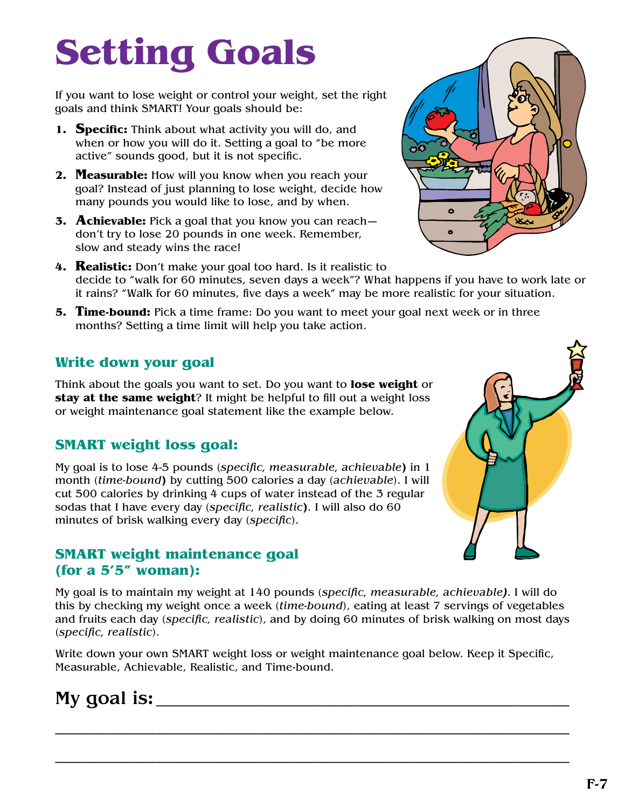## **Setting Goals**

If you want to lose weight or control your weight, set the right goals and think SMART! Your goals should be:

- **1. Specific:** Think about what activity you will do, and when or how you will do it. Setting a goal to "be more active" sounds good, but it is not specific.
- **2. Measurable:** How will you know when you reach your goal? Instead of just planning to lose weight, decide how many pounds you would like to lose, and by when.
- **3. Achievable:** Pick a goal that you know you can reach don't try to lose 20 pounds in one week. Remember, slow and steady wins the race!
- **4. Realistic:** Don't make your goal too hard. Is it realistic to decide to "walk for 60 minutes, seven days a week"? What happens if you have to work late or it rains? "Walk for 60 minutes, five days a week" may be more realistic for your situation.
- **5. Time-bound:** Pick a time frame: Do you want to meet your goal next week or in three months? Setting a time limit will help you take action.

#### **Write down your goal**

Think about the goals you want to set. Do you want to **lose weight** or **stay at the same weight**? It might be helpful to fill out a weight loss or weight maintenance goal statement like the example below.

#### **SMART weight loss goal:**

My goal is to lose 4-5 pounds (*specific, measurable, achievable***)** in 1 month (*time-bound***)** by cutting 500 calories a day (*achievable*). I will cut 500 calories by drinking 4 cups of water instead of the 3 regular sodas that I have every day (*specific, realistic***)**. I will also do 60 minutes of brisk walking every day (*specific*).

#### **SMART weight maintenance goal (for a 5'5" woman):**

My goal is to maintain my weight at 140 pounds (*specific, measurable, achievable)*. I will do this by checking my weight once a week (*time-bound*), eating at least 7 servings of vegetables and fruits each day (*specific, realistic*), and by doing 60 minutes of brisk walking on most days (*specific, realistic*).

Write down your own SMART weight loss or weight maintenance goal below. Keep it Specific, Measurable, Achievable, Realistic, and Time-bound.

\_\_\_\_\_\_\_\_\_\_\_\_\_\_\_\_\_\_\_\_\_\_\_\_\_\_\_\_\_\_\_\_\_\_\_\_\_\_\_\_\_\_\_\_\_\_\_\_\_\_\_\_\_\_\_\_

\_\_\_\_\_\_\_\_\_\_\_\_\_\_\_\_\_\_\_\_\_\_\_\_\_\_\_\_\_\_\_\_\_\_\_\_\_\_\_\_\_\_\_\_\_\_\_\_\_\_\_\_\_\_\_\_

### My goal is:



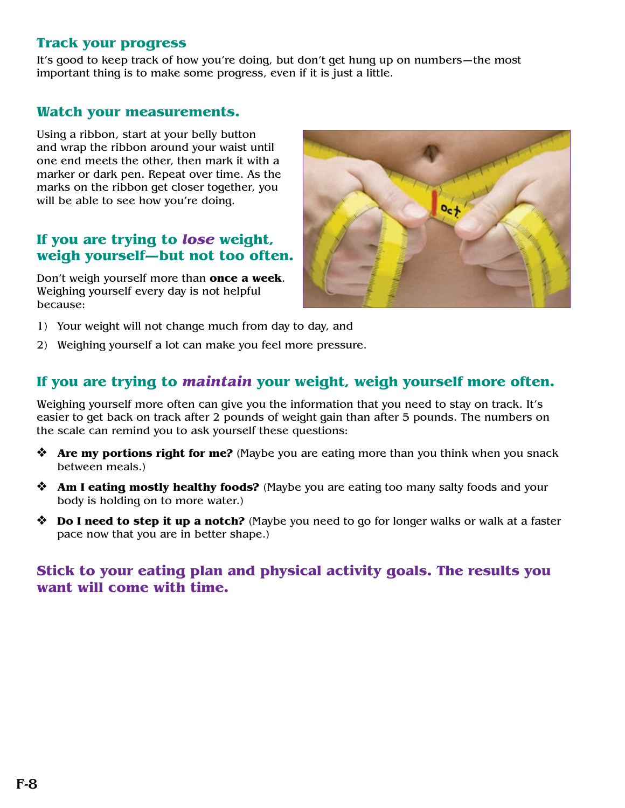#### **Track your progress**

It's good to keep track of how you're doing, but don't get hung up on numbers—the most important thing is to make some progress, even if it is just a little.

#### **Watch your measurements.**

Using a ribbon, start at your belly button and wrap the ribbon around your waist until one end meets the other, then mark it with a marker or dark pen. Repeat over time. As the marks on the ribbon get closer together, you will be able to see how you're doing.

#### **If you are trying to** *lose* **weight, weigh yourself—but not too often.**

Don't weigh yourself more than **once a week**. Weighing yourself every day is not helpful because:



- 1) Your weight will not change much from day to day, and
- 2) Weighing yourself a lot can make you feel more pressure.

#### **If you are trying to** *maintain* **your weight, weigh yourself more often.**

Weighing yourself more often can give you the information that you need to stay on track. It's easier to get back on track after 2 pounds of weight gain than after 5 pounds. The numbers on the scale can remind you to ask yourself these questions:

- **◆ Are my portions right for me?** (Maybe you are eating more than you think when you snack between meals.)
- **◆ Am I eating mostly healthy foods?** (Maybe you are eating too many salty foods and your body is holding on to more water.)
- **bo I need to step it up a notch?** (Maybe you need to go for longer walks or walk at a faster pace now that you are in better shape.)

#### **Stick to your eating plan and physical activity goals. The results you want will come with time.**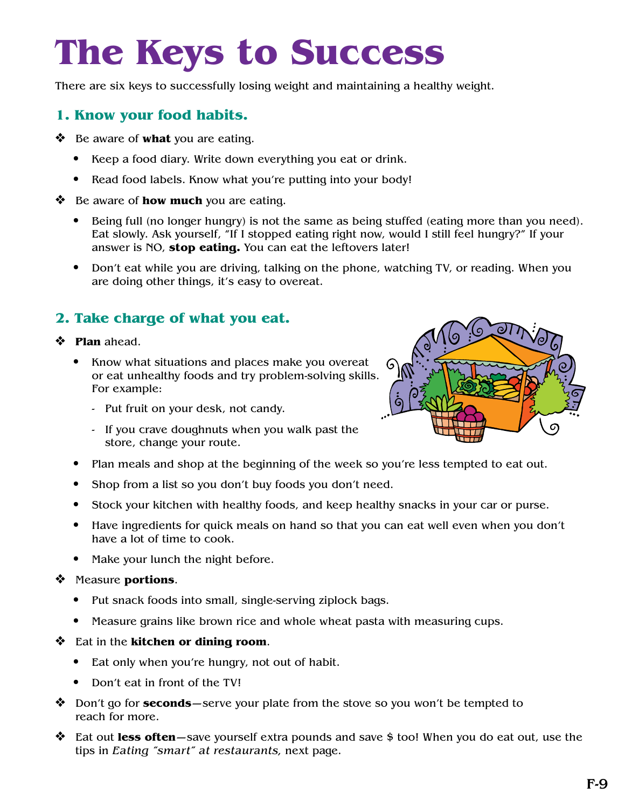## **The Keys to Success**

There are six keys to successfully losing weight and maintaining a healthy weight.

#### **1. Know your food habits.**

- **❖** Be aware of **what** you are eating.
	- **•** Keep a food diary. Write down everything you eat or drink.
	- **•** Read food labels. Know what you're putting into your body!
- **❖** Be aware of **how much** you are eating.
	- Being full (no longer hungry) is not the same as being stuffed (eating more than you need). Eat slowly. Ask yourself, "If I stopped eating right now, would I still feel hungry?" If your answer is NO, **stop eating.** You can eat the leftovers later!
	- Don't eat while you are driving, talking on the phone, watching TV, or reading. When you are doing other things, it's easy to overeat.

#### **2. Take charge of what you eat.**

#### v **Plan** ahead.

- Know what situations and places make you overeat or eat unhealthy foods and try problem-solving skills. For example:
	- Put fruit on your desk, not candy.
	- If you crave doughnuts when you walk past the store, change your route.
- Plan meals and shop at the beginning of the week so you're less tempted to eat out.
- Shop from a list so you don't buy foods you don't need.
- Stock your kitchen with healthy foods, and keep healthy snacks in your car or purse.
- Have ingredients for quick meals on hand so that you can eat well even when you don't have a lot of time to cook.
- Make your lunch the night before.

#### v Measure **portions**.

- Put snack foods into small, single-serving ziplock bags.
- Measure grains like brown rice and whole wheat pasta with measuring cups.
- v Eat in the **kitchen or dining room**.
	- Eat only when you're hungry, not out of habit.
	- Don't eat in front of the TV!
- v Don't go for **seconds**—serve your plate from the stove so you won't be tempted to reach for more.
- **→** Eat out less often—save yourself extra pounds and save \$ too! When you do eat out, use the tips in *Eating "smart" at restaurants,* next page.

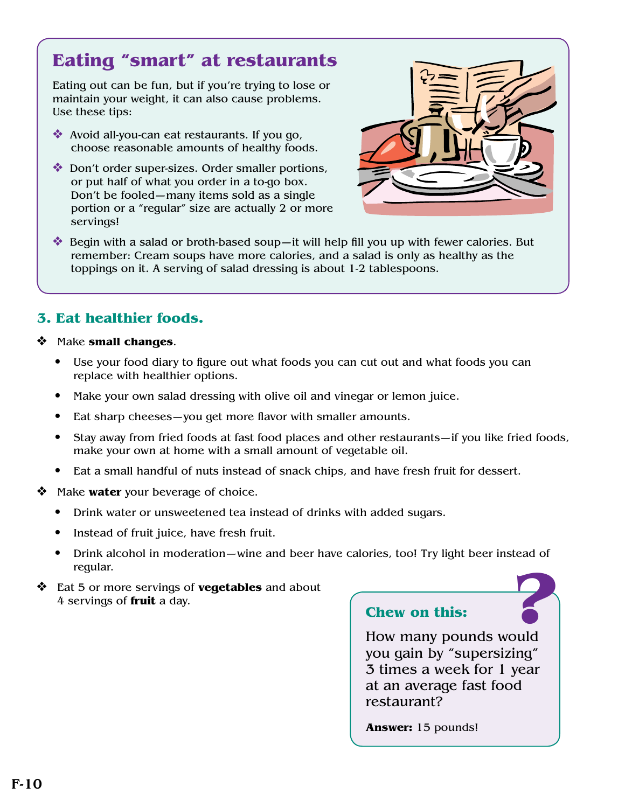## **Eating "smart" at restaurants**

Eating out can be fun, but if you're trying to lose or maintain your weight, it can also cause problems. Use these tips:

- Avoid all-you-can eat restaurants. If you go, choose reasonable amounts of healthy foods.
- v Don't order super-sizes. Order smaller portions, or put half of what you order in a to-go box. Don't be fooled—many items sold as a single portion or a "regular" size are actually 2 or more servings!



 $\bullet$  Begin with a salad or broth-based soup—it will help fill you up with fewer calories. But remember: Cream soups have more calories, and a salad is only as healthy as the toppings on it. A serving of salad dressing is about 1-2 tablespoons.

#### **3. Eat healthier foods.**

- Make **small changes**.
	- Use your food diary to figure out what foods you can cut out and what foods you can replace with healthier options.
	- Make your own salad dressing with olive oil and vinegar or lemon juice.
	- Eat sharp cheeses—you get more flavor with smaller amounts.
	- Stay away from fried foods at fast food places and other restaurants—if you like fried foods, make your own at home with a small amount of vegetable oil.
	- Eat a small handful of nuts instead of snack chips, and have fresh fruit for dessert.
- **◆** Make **water** your beverage of choice.
	- Drink water or unsweetened tea instead of drinks with added sugars.
	- Instead of fruit juice, have fresh fruit.
	- **12 •** Drink alcohol in moderation—wine and beer have calories, too! Try light beer instead of regular.
- v Eat 5 or more servings of **vegetables** and about 4 servings of **fruit** a day.

#### **Chew on this:**

How many pounds would you gain by "supersizing" 3 times a week for 1 year at an average fast food restaurant?

**Answer:** 15 pounds!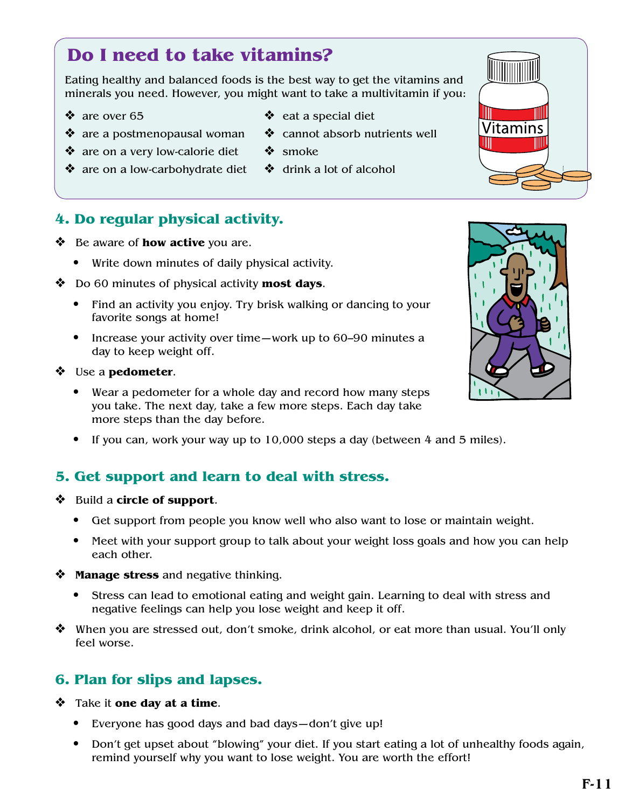Eating healthy and balanced foods is the best way to get the vitamins and minerals you need. However, you might want to take a multivitamin if you:

 $\triangleleft$  eat a special diet

 $\triangleleft$  drink a lot of alcohol

 $\bullet$  smoke

 $\triangleleft$  cannot absorb nutrients well

- $\cdot$  are over 65
- $\triangleleft$  are a postmenopausal woman
- $\triangleleft$  are on a very low-calorie diet
- $\triangleleft$  are on a low-carbohydrate diet

#### **4. Do regular physical activity.**

- **↓** Be aware of **how active** you are.
	- Write down minutes of daily physical activity.
- **❖** Do 60 minutes of physical activity **most days**.
	- Find an activity you enjoy. Try brisk walking or dancing to your favorite songs at home!
	- Increase your activity over time—work up to 60–90 minutes a day to keep weight off.

#### v Use a **pedometer**.

- Wear a pedometer for a whole day and record how many steps you take. The next day, take a few more steps. Each day take more steps than the day before.
- If you can, work your way up to 10,000 steps a day (between 4 and 5 miles).

#### **5. Get support and learn to deal with stress.**

- v Build a **circle of support**.
	- Get support from people you know well who also want to lose or maintain weight.
	- Meet with your support group to talk about your weight loss goals and how you can help each other.
- **Example 3 Manage stress** and negative thinking.
	- Stress can lead to emotional eating and weight gain. Learning to deal with stress and negative feelings can help you lose weight and keep it off.
- $\clubsuit$  When you are stressed out, don't smoke, drink alcohol, or eat more than usual. You'll only feel worse.

#### **6. Plan for slips and lapses.**

- v Take it **one day at a time**.
	- Everyone has good days and bad days—don't give up!
	- Don't get upset about "blowing" your diet. If you start eating a lot of unhealthy foods again, remind yourself why you want to lose weight. You are worth the effort!



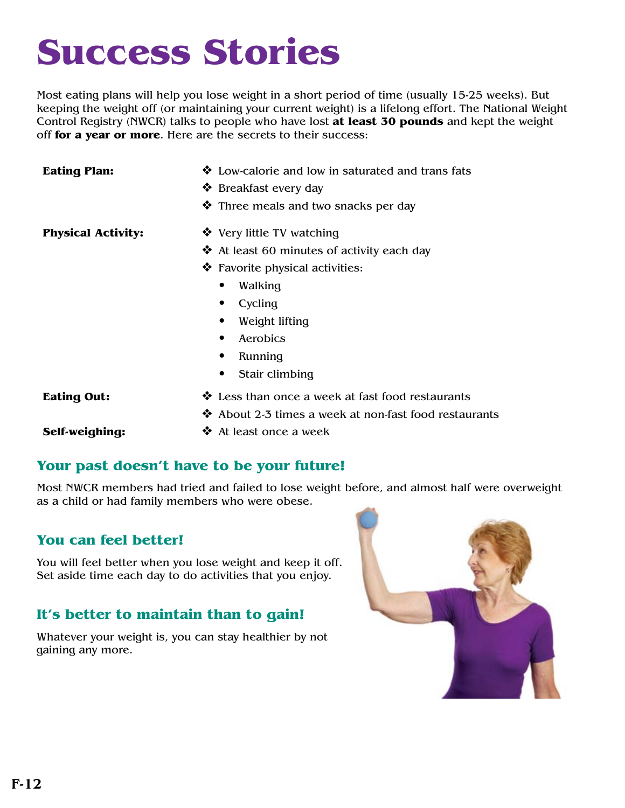## **Success Stories**

Most eating plans will help you lose weight in a short period of time (usually 15-25 weeks). But keeping the weight off (or maintaining your current weight) is a lifelong effort. The National Weight Control Registry (NWCR) talks to people who have lost **at least 30 pounds** and kept the weight off **for a year or more**. Here are the secrets to their success:

| <b>Eating Plan:</b>       | ❖ Low-calorie and low in saturated and trans fats        |  |
|---------------------------|----------------------------------------------------------|--|
|                           | ❖ Breakfast every day                                    |  |
|                           | ❖ Three meals and two snacks per day                     |  |
| <b>Physical Activity:</b> | ❖ Very little TV watching                                |  |
|                           | $\triangleleft$ At least 60 minutes of activity each day |  |
|                           | ❖ Favorite physical activities:                          |  |
|                           | Walking<br>٠                                             |  |
|                           | Cycling<br>$\bullet$                                     |  |
|                           | Weight lifting<br>$\bullet$                              |  |
|                           | Aerobics<br>$\bullet$                                    |  |
|                           | Running<br>$\bullet$                                     |  |
|                           | Stair climbing                                           |  |
| <b>Eating Out:</b>        | ❖ Less than once a week at fast food restaurants         |  |
|                           | ❖ About 2-3 times a week at non-fast food restaurants    |  |
| Self-weighing:            | ❖ At least once a week                                   |  |

#### **Your past doesn't have to be your future!**

Most NWCR members had tried and failed to lose weight before, and almost half were overweight as a child or had family members who were obese.

#### **You can feel better!**

You will feel better when you lose weight and keep it off. Set aside time each day to do activities that you enjoy.

#### **It's better to maintain than to gain!**

Whatever your weight is, you can stay healthier by not gaining any more.

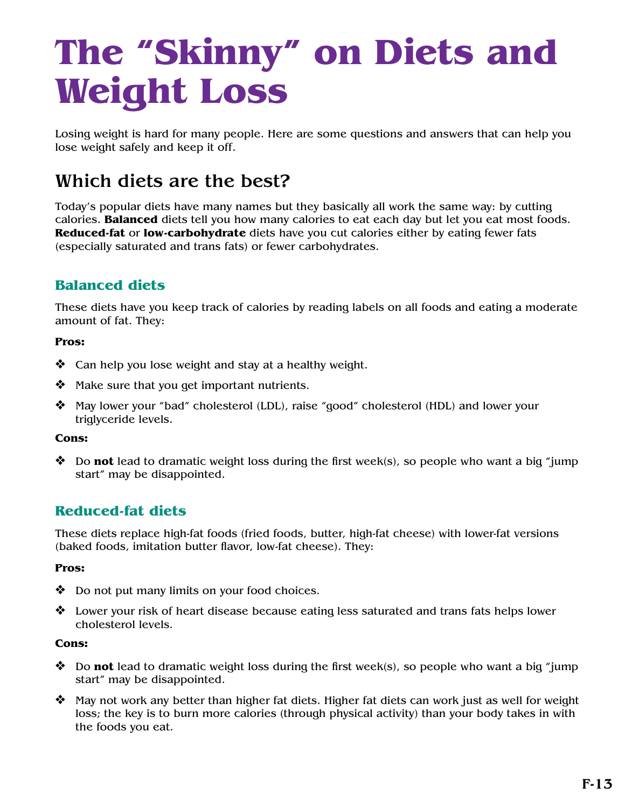## **The "Skinny" on Diets and Weight Loss**

Losing weight is hard for many people. Here are some questions and answers that can help you lose weight safely and keep it off.

## Which diets are the best?

Today's popular diets have many names but they basically all work the same way: by cutting calories. **Balanced** diets tell you how many calories to eat each day but let you eat most foods. **Reduced-fat** or **low-carbohydrate** diets have you cut calories either by eating fewer fats (especially saturated and trans fats) or fewer carbohydrates.

#### **Balanced diets**

These diets have you keep track of calories by reading labels on all foods and eating a moderate amount of fat. They:

#### **Pros:**

- $\triangleleft$  Can help you lose weight and stay at a healthy weight.
- $\mathbf{\hat{P}}$  Make sure that you get important nutrients.
- v May lower your "bad" cholesterol (LDL), raise "good" cholesterol (HDL) and lower your triglyceride levels.

#### **Cons:**

 $\diamond$  Do **not** lead to dramatic weight loss during the first week(s), so people who want a big "jump start" may be disappointed.

#### **Reduced-fat diets**

These diets replace high-fat foods (fried foods, butter, high-fat cheese) with lower-fat versions (baked foods, imitation butter flavor, low-fat cheese). They:

#### **Pros:**

- $\bullet$  Do not put many limits on your food choices.
- $\triangleleft$  Lower your risk of heart disease because eating less saturated and trans fats helps lower cholesterol levels.

#### **Cons:**

- **❖** Do **not** lead to dramatic weight loss during the first week(s), so people who want a big "jump start" may be disappointed.
- $\clubsuit$  May not work any better than higher fat diets. Higher fat diets can work just as well for weight loss; the key is to burn more calories (through physical activity) than your body takes in with the foods you eat.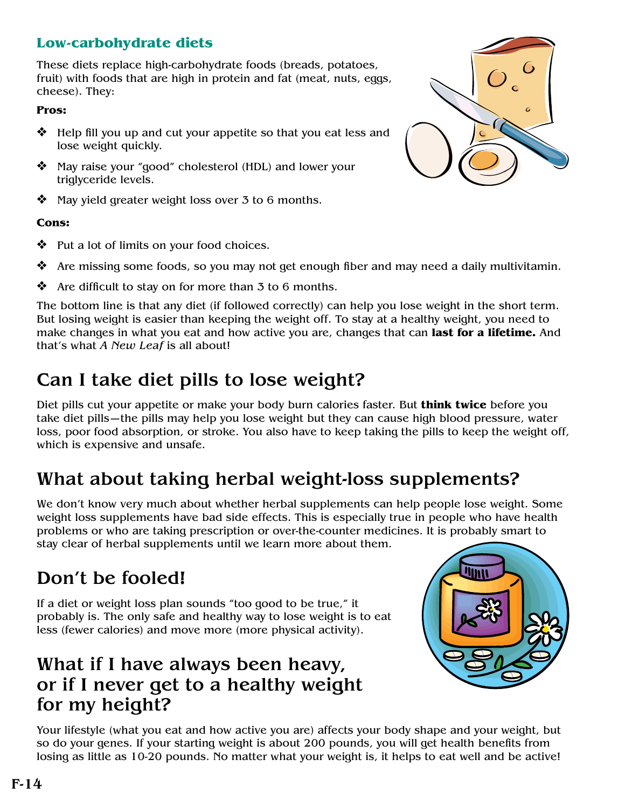#### **Low-carbohydrate diets**

These diets replace high-carbohydrate foods (breads, potatoes, fruit) with foods that are high in protein and fat (meat, nuts, eggs, cheese). They:

#### **Pros:**

- $\triangleleft$  Help fill you up and cut your appetite so that you eat less and lose weight quickly.
- v May raise your "good" cholesterol (HDL) and lower your triglyceride levels.
- May yield greater weight loss over 3 to 6 months.

#### **Cons:**

- $\bullet$  Put a lot of limits on your food choices.
- $\clubsuit$  Are missing some foods, so you may not get enough fiber and may need a daily multivitamin.
- $\triangleleft$  Are difficult to stay on for more than 3 to 6 months.

The bottom line is that any diet (if followed correctly) can help you lose weight in the short term. But losing weight is easier than keeping the weight off. To stay at a healthy weight, you need to make changes in what you eat and how active you are, changes that can **last for a lifetime.** And that's what *A New Leaf* is all about!

## Can I take diet pills to lose weight?

Diet pills cut your appetite or make your body burn calories faster. But **think twice** before you take diet pills—the pills may help you lose weight but they can cause high blood pressure, water loss, poor food absorption, or stroke. You also have to keep taking the pills to keep the weight off, which is expensive and unsafe.

## What about taking herbal weight-loss supplements?

We don't know very much about whether herbal supplements can help people lose weight. Some weight loss supplements have bad side effects. This is especially true in people who have health problems or who are taking prescription or over-the-counter medicines. It is probably smart to stay clear of herbal supplements until we learn more about them.

## Don't be fooled!

If a diet or weight loss plan sounds "too good to be true," it probably is. The only safe and healthy way to lose weight is to eat less (fewer calories) and move more (more physical activity).

### What if I have always been heavy, or if I never get to a healthy weight for my height?



Your lifestyle (what you eat and how active you are) affects your body shape and your weight, but so do your genes. If your starting weight is about 200 pounds, you will get health benefits from losing as little as 10-20 pounds. No matter what your weight is, it helps to eat well and be active!

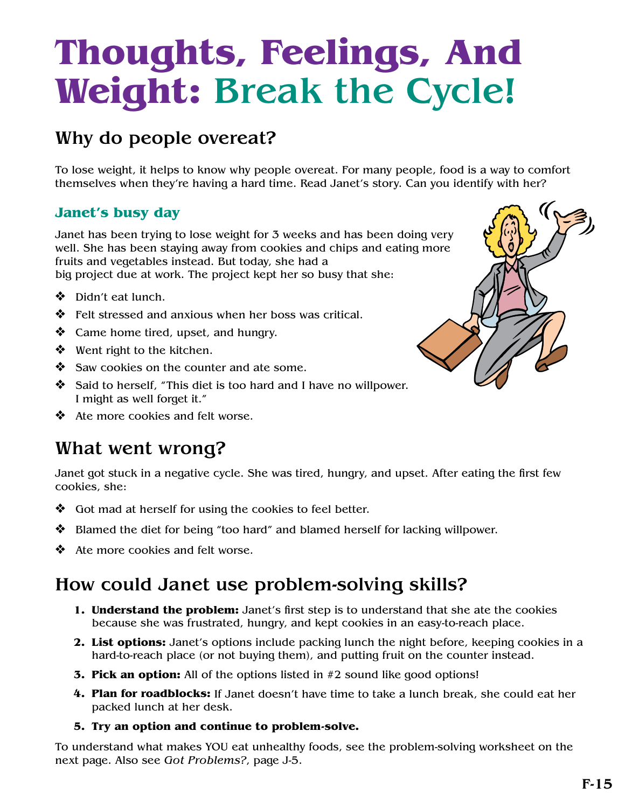## **Thoughts, Feelings, And Weight:** Break the Cycle!

## Why do people overeat?

To lose weight, it helps to know why people overeat. For many people, food is a way to comfort themselves when they're having a hard time. Read Janet's story. Can you identify with her?

#### **Janet's busy day**

Janet has been trying to lose weight for 3 weeks and has been doing very well. She has been staying away from cookies and chips and eating more fruits and vegetables instead. But today, she had a big project due at work. The project kept her so busy that she:

- ❖ Didn't eat lunch.
- $\mathbf{\hat{P}}$  Felt stressed and anxious when her boss was critical.
- $\triangleleft$  Came home tired, upset, and hungry.
- $\triangleleft$  Went right to the kitchen.
- $\bullet$  Saw cookies on the counter and ate some.
- Said to herself, "This diet is too hard and I have no willpower. I might as well forget it."
- $\triangleleft$  Ate more cookies and felt worse.

### What went wrong?

Janet got stuck in a negative cycle. She was tired, hungry, and upset. After eating the first few cookies, she:

- $\bullet$  Got mad at herself for using the cookies to feel better.
- v Blamed the diet for being "too hard" and blamed herself for lacking willpower.
- $\triangleleft$  Ate more cookies and felt worse.

## How could Janet use problem-solving skills?

- **1. Understand the problem:** Janet's first step is to understand that she ate the cookies because she was frustrated, hungry, and kept cookies in an easy-to-reach place.
- **2. List options:** Janet's options include packing lunch the night before, keeping cookies in a hard-to-reach place (or not buying them), and putting fruit on the counter instead.
- **3. Pick an option:** All of the options listed in #2 sound like good options!
- **4. Plan for roadblocks:** If Janet doesn't have time to take a lunch break, she could eat her packed lunch at her desk.
- **5. Try an option and continue to problem-solve.**

To understand what makes YOU eat unhealthy foods, see the problem-solving worksheet on the next page. Also see *Got Problems?*, page J-5.

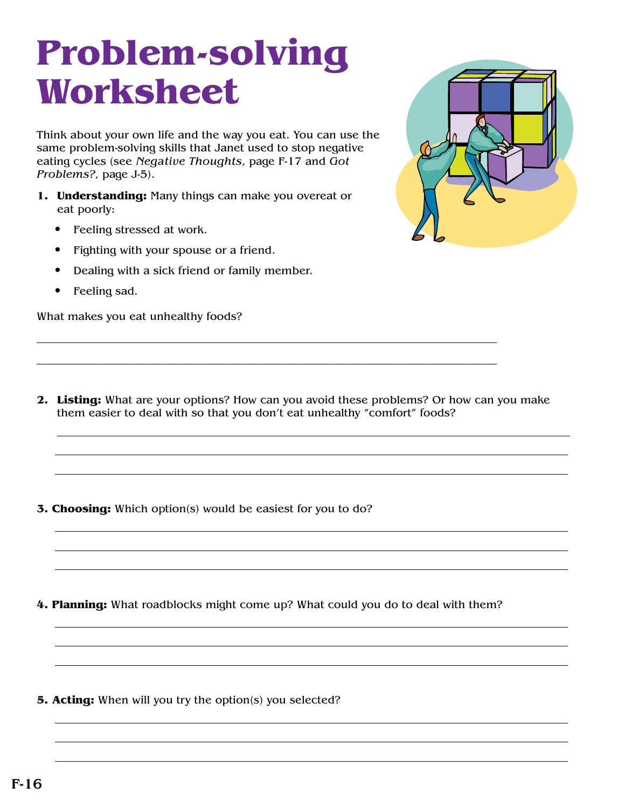## **Problem-solving Worksheet**

Think about your own life and the way you eat. You can use the same problem-solving skills that Janet used to stop negative eating cycles (see *Negative Thoughts*, page F-17 and *Got Problems?*, page J-5).

- **1. Understanding:** Many things can make you overeat or eat poorly:
	- Feeling stressed at work.
	- Fighting with your spouse or a friend.
	- Dealing with a sick friend or family member.
	- Feeling sad.

What makes you eat unhealthy foods?



**2. Listing:** What are your options? How can you avoid these problems? Or how can you make them easier to deal with so that you don't eat unhealthy "comfort" foods?

\_\_\_\_\_\_\_\_\_\_\_\_\_\_\_\_\_\_\_\_\_\_\_\_\_\_\_\_\_\_\_\_\_\_\_\_\_\_\_\_\_\_\_\_\_\_\_\_\_\_\_\_\_\_\_\_\_\_\_\_\_\_\_\_\_\_\_\_\_\_\_\_\_\_\_\_\_\_\_\_\_\_

\_\_\_\_\_\_\_\_\_\_\_\_\_\_\_\_\_\_\_\_\_\_\_\_\_\_\_\_\_\_\_\_\_\_\_\_\_\_\_\_\_\_\_\_\_\_\_\_\_\_\_\_\_\_\_\_\_\_\_\_\_\_\_\_\_\_\_\_\_\_\_\_\_\_\_\_\_\_\_\_\_\_

**3. Choosing:** Which option(s) would be easiest for you to do?

**4. Planning:** What roadblocks might come up? What could you do to deal with them?

**5. Acting:** When will you try the option(s) you selected?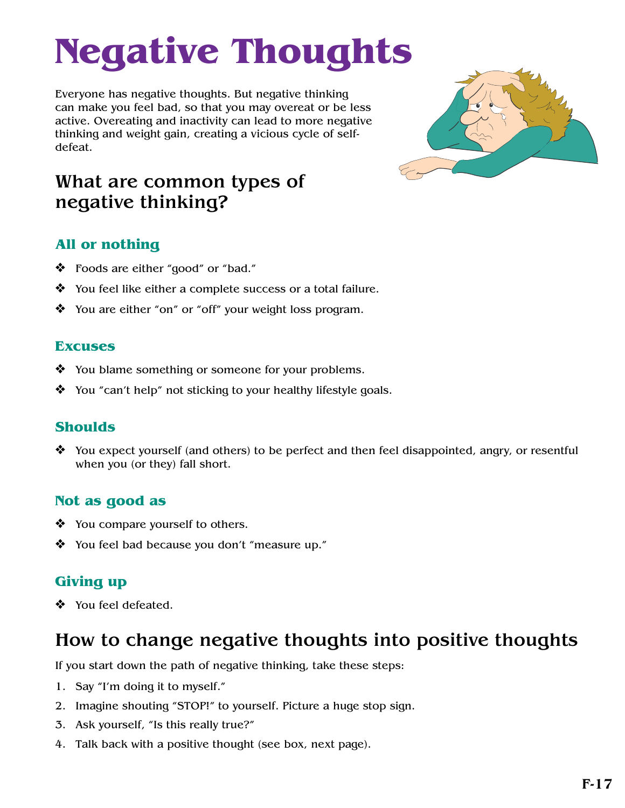# **Negative Thoughts**

Everyone has negative thoughts. But negative thinking can make you feel bad, so that you may overeat or be less active. Overeating and inactivity can lead to more negative thinking and weight gain, creating a vicious cycle of selfdefeat.



## What are common types of negative thinking?

### **All or nothing**

- v Foods are either "good" or "bad."
- $\mathbf{\hat{P}}$  You feel like either a complete success or a total failure.
- $\mathbf{\hat{P}}$  You are either "on" or "off" your weight loss program.

#### **Excuses**

- $\bullet$  You blame something or someone for your problems.
- $\mathbf{\hat{P}}$  You "can't help" not sticking to your healthy lifestyle goals.

#### **Shoulds**

 $\triangle$  You expect yourself (and others) to be perfect and then feel disappointed, angry, or resentful when you (or they) fall short.

#### **Not as good as**

- $\triangleleft$  You compare yourself to others.
- $\mathbf{\hat{P}}$  You feel bad because you don't "measure up."

### **Giving up**

❖ You feel defeated.

## How to change negative thoughts into positive thoughts

If you start down the path of negative thinking, take these steps:

- 1. Say "I'm doing it to myself."
- 2. Imagine shouting "STOP!" to yourself. Picture a huge stop sign.
- 3. Ask yourself, "Is this really true?"
- 4. Talk back with a positive thought (see box, next page).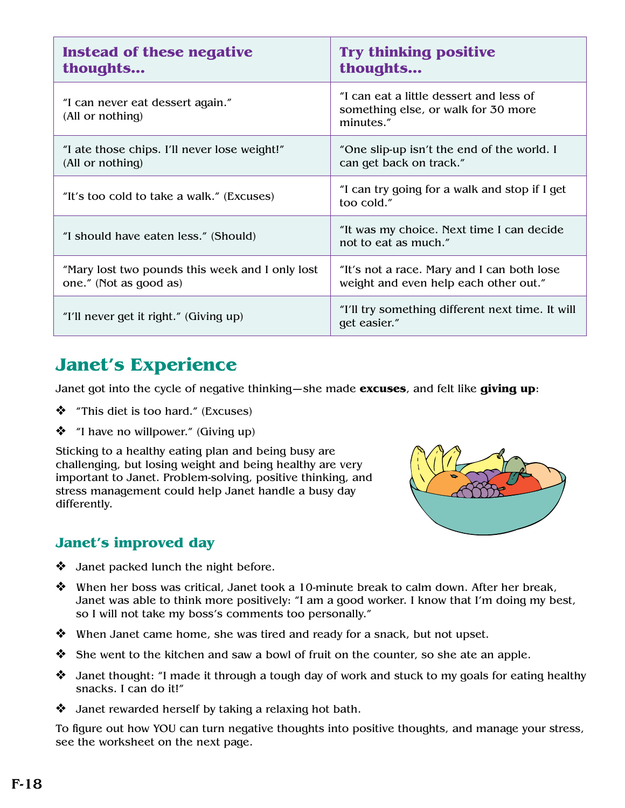| Instead of these negative<br>thoughts                                     | <b>Try thinking positive</b><br>thoughts                                                    |  |
|---------------------------------------------------------------------------|---------------------------------------------------------------------------------------------|--|
| "I can never eat dessert again."<br>(All or nothing)                      | "I can eat a little dessert and less of<br>something else, or walk for 30 more<br>minutes." |  |
| "I ate those chips. I'll never lose weight!"<br>(All or nothing)          | "One slip-up isn't the end of the world. I<br>can get back on track."                       |  |
| "It's too cold to take a walk." (Excuses)                                 | "I can try going for a walk and stop if I get<br>too cold."                                 |  |
| "I should have eaten less." (Should)                                      | "It was my choice. Next time I can decide<br>not to eat as much."                           |  |
| "Mary lost two pounds this week and I only lost<br>one." (Not as good as) | "It's not a race. Mary and I can both lose<br>weight and even help each other out."         |  |
| "I'll never get it right." (Giving up)                                    | "I'll try something different next time. It will<br>get easier."                            |  |

## **Janet's Experience**

Janet got into the cycle of negative thinking—she made **excuses**, and felt like **giving up**:

- $\triangleleft$  "This diet is too hard." (Excuses)
- $\bullet$  "I have no willpower." (Giving up)

Sticking to a healthy eating plan and being busy are challenging, but losing weight and being healthy are very important to Janet. Problem-solving, positive thinking, and stress management could help Janet handle a busy day differently.



#### **Janet's improved day**

- $\triangleleft$  Janet packed lunch the night before.
- $\clubsuit$  When her boss was critical, Janet took a 10-minute break to calm down. After her break, Janet was able to think more positively: "I am a good worker. I know that I'm doing my best, so I will not take my boss's comments too personally."
- $\mathbf{\hat{P}}$  When Janet came home, she was tired and ready for a snack, but not upset.
- $\clubsuit$  She went to the kitchen and saw a bowl of fruit on the counter, so she ate an apple.
- $\triangle$  Janet thought: "I made it through a tough day of work and stuck to my goals for eating healthy snacks. I can do it!"
- $\triangleleft$  Janet rewarded herself by taking a relaxing hot bath.

To figure out how YOU can turn negative thoughts into positive thoughts, and manage your stress, see the worksheet on the next page.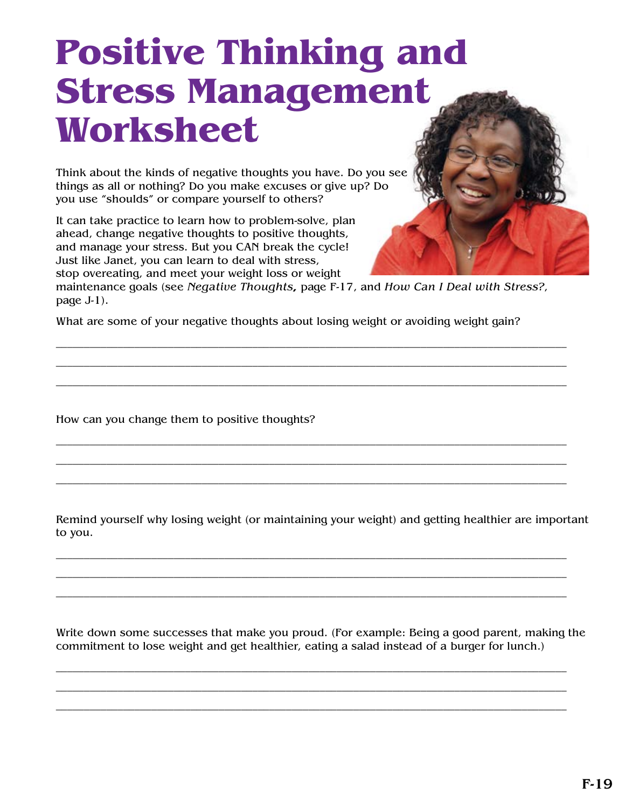## **Positive Thinking and Stress Management Worksheet**

Think about the kinds of negative thoughts you have. Do you see things as all or nothing? Do you make excuses or give up? Do you use "shoulds" or compare yourself to others?

It can take practice to learn how to problem-solve, plan ahead, change negative thoughts to positive thoughts, and manage your stress. But you CAN break the cycle! Just like Janet, you can learn to deal with stress, stop overeating, and meet your weight loss or weight



maintenance goals (see *Negative Thoughts,* page F-17, and *How Can I Deal with Stress?*, page J-1).

\_\_\_\_\_\_\_\_\_\_\_\_\_\_\_\_\_\_\_\_\_\_\_\_\_\_\_\_\_\_\_\_\_\_\_\_\_\_\_\_\_\_\_\_\_\_\_\_\_\_\_\_\_\_\_\_\_\_\_\_\_\_\_\_\_\_\_\_\_\_\_\_\_\_\_\_\_\_\_\_\_\_\_\_\_\_\_\_\_\_\_ \_\_\_\_\_\_\_\_\_\_\_\_\_\_\_\_\_\_\_\_\_\_\_\_\_\_\_\_\_\_\_\_\_\_\_\_\_\_\_\_\_\_\_\_\_\_\_\_\_\_\_\_\_\_\_\_\_\_\_\_\_\_\_\_\_\_\_\_\_\_\_\_\_\_\_\_\_\_\_\_\_\_\_\_\_\_\_\_\_\_\_ \_\_\_\_\_\_\_\_\_\_\_\_\_\_\_\_\_\_\_\_\_\_\_\_\_\_\_\_\_\_\_\_\_\_\_\_\_\_\_\_\_\_\_\_\_\_\_\_\_\_\_\_\_\_\_\_\_\_\_\_\_\_\_\_\_\_\_\_\_\_\_\_\_\_\_\_\_\_\_\_\_\_\_\_\_\_\_\_\_\_\_

\_\_\_\_\_\_\_\_\_\_\_\_\_\_\_\_\_\_\_\_\_\_\_\_\_\_\_\_\_\_\_\_\_\_\_\_\_\_\_\_\_\_\_\_\_\_\_\_\_\_\_\_\_\_\_\_\_\_\_\_\_\_\_\_\_\_\_\_\_\_\_\_\_\_\_\_\_\_\_\_\_\_\_\_\_\_\_\_\_\_\_ \_\_\_\_\_\_\_\_\_\_\_\_\_\_\_\_\_\_\_\_\_\_\_\_\_\_\_\_\_\_\_\_\_\_\_\_\_\_\_\_\_\_\_\_\_\_\_\_\_\_\_\_\_\_\_\_\_\_\_\_\_\_\_\_\_\_\_\_\_\_\_\_\_\_\_\_\_\_\_\_\_\_\_\_\_\_\_\_\_\_\_ \_\_\_\_\_\_\_\_\_\_\_\_\_\_\_\_\_\_\_\_\_\_\_\_\_\_\_\_\_\_\_\_\_\_\_\_\_\_\_\_\_\_\_\_\_\_\_\_\_\_\_\_\_\_\_\_\_\_\_\_\_\_\_\_\_\_\_\_\_\_\_\_\_\_\_\_\_\_\_\_\_\_\_\_\_\_\_\_\_\_\_

What are some of your negative thoughts about losing weight or avoiding weight gain?

How can you change them to positive thoughts?

Remind yourself why losing weight (or maintaining your weight) and getting healthier are important to you.

\_\_\_\_\_\_\_\_\_\_\_\_\_\_\_\_\_\_\_\_\_\_\_\_\_\_\_\_\_\_\_\_\_\_\_\_\_\_\_\_\_\_\_\_\_\_\_\_\_\_\_\_\_\_\_\_\_\_\_\_\_\_\_\_\_\_\_\_\_\_\_\_\_\_\_\_\_\_\_\_\_\_\_\_\_\_\_\_\_\_\_ \_\_\_\_\_\_\_\_\_\_\_\_\_\_\_\_\_\_\_\_\_\_\_\_\_\_\_\_\_\_\_\_\_\_\_\_\_\_\_\_\_\_\_\_\_\_\_\_\_\_\_\_\_\_\_\_\_\_\_\_\_\_\_\_\_\_\_\_\_\_\_\_\_\_\_\_\_\_\_\_\_\_\_\_\_\_\_\_\_\_\_ \_\_\_\_\_\_\_\_\_\_\_\_\_\_\_\_\_\_\_\_\_\_\_\_\_\_\_\_\_\_\_\_\_\_\_\_\_\_\_\_\_\_\_\_\_\_\_\_\_\_\_\_\_\_\_\_\_\_\_\_\_\_\_\_\_\_\_\_\_\_\_\_\_\_\_\_\_\_\_\_\_\_\_\_\_\_\_\_\_\_\_

Write down some successes that make you proud. (For example: Being a good parent, making the commitment to lose weight and get healthier, eating a salad instead of a burger for lunch.)

\_\_\_\_\_\_\_\_\_\_\_\_\_\_\_\_\_\_\_\_\_\_\_\_\_\_\_\_\_\_\_\_\_\_\_\_\_\_\_\_\_\_\_\_\_\_\_\_\_\_\_\_\_\_\_\_\_\_\_\_\_\_\_\_\_\_\_\_\_\_\_\_\_\_\_\_\_\_\_\_\_\_\_\_\_\_\_\_\_\_\_ \_\_\_\_\_\_\_\_\_\_\_\_\_\_\_\_\_\_\_\_\_\_\_\_\_\_\_\_\_\_\_\_\_\_\_\_\_\_\_\_\_\_\_\_\_\_\_\_\_\_\_\_\_\_\_\_\_\_\_\_\_\_\_\_\_\_\_\_\_\_\_\_\_\_\_\_\_\_\_\_\_\_\_\_\_\_\_\_\_\_\_ \_\_\_\_\_\_\_\_\_\_\_\_\_\_\_\_\_\_\_\_\_\_\_\_\_\_\_\_\_\_\_\_\_\_\_\_\_\_\_\_\_\_\_\_\_\_\_\_\_\_\_\_\_\_\_\_\_\_\_\_\_\_\_\_\_\_\_\_\_\_\_\_\_\_\_\_\_\_\_\_\_\_\_\_\_\_\_\_\_\_\_